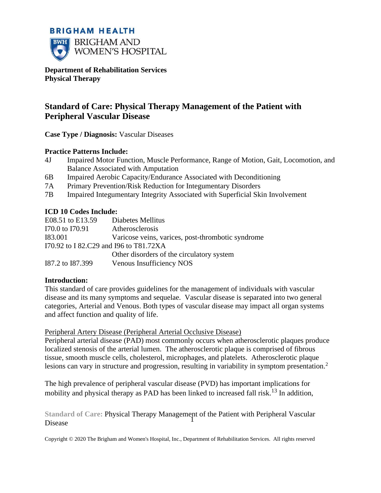# **BRIGHAM HEALTH BWH** BRIGHAM AND

**WOMEN'S HOSPITAL** 

**Department of Rehabilitation Services Physical Therapy**

# **Standard of Care: Physical Therapy Management of the Patient with Peripheral Vascular Disease**

**Case Type / Diagnosis:** Vascular Diseases

#### **Practice Patterns Include:**

- 4J Impaired Motor Function, Muscle Performance, Range of Motion, Gait, Locomotion, and Balance Associated with Amputation
- 6B Impaired Aerobic Capacity/Endurance Associated with Deconditioning
- 7A Primary Prevention/Risk Reduction for Integumentary Disorders
- 7B Impaired Integumentary Integrity Associated with Superficial Skin Involvement

#### **ICD 10 Codes Include:**

| E08.51 to E13.59                       | Diabetes Mellitus                                 |  |
|----------------------------------------|---------------------------------------------------|--|
| I70.0 to I70.91                        | Atherosclerosis                                   |  |
| I83.001                                | Varicose veins, varices, post-thrombotic syndrome |  |
| I70.92 to I 82.C29 and I96 to T81.72XA |                                                   |  |
|                                        | Other disorders of the circulatory system         |  |
| I87.2 to 187.399                       | Venous Insufficiency NOS                          |  |

#### **Introduction:**

This standard of care provides guidelines for the management of individuals with vascular disease and its many symptoms and sequelae. Vascular disease is separated into two general categories, Arterial and Venous. Both types of vascular disease may impact all organ systems and affect function and quality of life.

#### Peripheral Artery Disease (Peripheral Arterial Occlusive Disease)

Peripheral arterial disease (PAD) most commonly occurs when atherosclerotic plaques produce localized stenosis of the arterial lumen. The atherosclerotic plaque is comprised of fibrous tissue, smooth muscle cells, cholesterol, microphages, and platelets. Atherosclerotic plaque lesions can vary in structure and progression, resulting in variability in symptom presentation.<sup>2</sup>

The high prevalence of peripheral vascular disease (PVD) has important implications for mobility and physical therapy as PAD has been linked to increased fall risk.<sup>13</sup> In addition,

**Standard of Care:** Physical Therapy Management of the Patient with Peripheral Vascular Disease  $\hat{1}$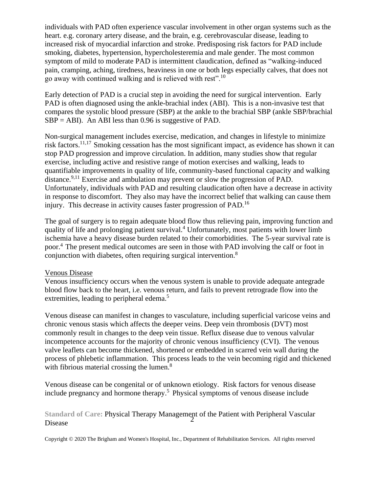individuals with PAD often experience vascular involvement in other organ systems such as the heart. e.g. coronary artery disease, and the brain, e.g. cerebrovascular disease, leading to increased risk of myocardial infarction and stroke. Predisposing risk factors for PAD include smoking, diabetes, hypertension, hypercholesteremia and male gender. The most common symptom of mild to moderate PAD is intermittent claudication, defined as "walking-induced pain, cramping, aching, tiredness, heaviness in one or both legs especially calves, that does not go away with continued walking and is relieved with rest".<sup>10</sup>

Early detection of PAD is a crucial step in avoiding the need for surgical intervention. Early PAD is often diagnosed using the ankle-brachial index (ABI). This is a non-invasive test that compares the systolic blood pressure (SBP) at the ankle to the brachial SBP (ankle SBP/brachial  $SBP = ABI$ ). An ABI less than 0.96 is suggestive of PAD.

Non-surgical management includes exercise, medication, and changes in lifestyle to minimize risk factors.11,17 Smoking cessation has the most significant impact, as evidence has shown it can stop PAD progression and improve circulation. In addition, many studies show that regular exercise, including active and resistive range of motion exercises and walking, leads to quantifiable improvements in quality of life, community-based functional capacity and walking distance.<sup>9,11</sup> Exercise and ambulation may prevent or slow the progression of PAD. Unfortunately, individuals with PAD and resulting claudication often have a decrease in activity in response to discomfort. They also may have the incorrect belief that walking can cause them injury. This decrease in activity causes faster progression of PAD.<sup>16</sup>

The goal of surgery is to regain adequate blood flow thus relieving pain, improving function and quality of life and prolonging patient survival.<sup>4</sup> Unfortunately, most patients with lower limb ischemia have a heavy disease burden related to their comorbidities. The 5-year survival rate is poor.<sup>4</sup> The present medical outcomes are seen in those with PAD involving the calf or foot in conjunction with diabetes, often requiring surgical intervention.<sup>8</sup>

#### Venous Disease

Venous insufficiency occurs when the venous system is unable to provide adequate antegrade blood flow back to the heart, i.e. venous return, and fails to prevent retrograde flow into the extremities, leading to peripheral edema.<sup>5</sup>

Venous disease can manifest in changes to vasculature, including superficial varicose veins and chronic venous stasis which affects the deeper veins. Deep vein thrombosis (DVT) most commonly result in changes to the deep vein tissue. Reflux disease due to venous valvular incompetence accounts for the majority of chronic venous insufficiency (CVI). The venous valve leaflets can become thickened, shortened or embedded in scarred vein wall during the process of phlebetic inflammation. This process leads to the vein becoming rigid and thickened with fibrious material crossing the lumen.<sup>8</sup>

Venous disease can be congenital or of unknown etiology. Risk factors for venous disease include pregnancy and hormone therapy.<sup>5</sup> Physical symptoms of venous disease include

**Standard of Care:** Physical Therapy Management of the Patient with Peripheral Vascular Disease  $\dot{2}$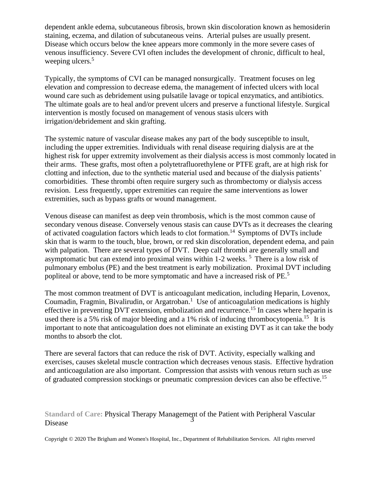dependent ankle edema, subcutaneous fibrosis, brown skin discoloration known as hemosiderin staining, eczema, and dilation of subcutaneous veins. Arterial pulses are usually present. Disease which occurs below the knee appears more commonly in the more severe cases of venous insufficiency. Severe CVI often includes the development of chronic, difficult to heal, weeping ulcers.<sup>5</sup>

Typically, the symptoms of CVI can be managed nonsurgically. Treatment focuses on leg elevation and compression to decrease edema, the management of infected ulcers with local wound care such as debridement using pulsatile lavage or topical enzymatics, and antibiotics. The ultimate goals are to heal and/or prevent ulcers and preserve a functional lifestyle. Surgical intervention is mostly focused on management of venous stasis ulcers with irrigation/debridement and skin grafting.

The systemic nature of vascular disease makes any part of the body susceptible to insult, including the upper extremities. Individuals with renal disease requiring dialysis are at the highest risk for upper extremity involvement as their dialysis access is most commonly located in their arms. These grafts, most often a polytetrafluorethylene or PTFE graft, are at high risk for clotting and infection, due to the synthetic material used and because of the dialysis patients' comorbidities. These thrombi often require surgery such as thrombectomy or dialysis access revision. Less frequently, upper extremities can require the same interventions as lower extremities, such as bypass grafts or wound management.

Venous disease can manifest as deep vein thrombosis, which is the most common cause of secondary venous disease. Conversely venous stasis can cause DVTs as it decreases the clearing of activated coagulation factors which leads to clot formation.<sup>14</sup> Symptoms of DVTs include skin that is warm to the touch, blue, brown, or red skin discoloration, dependent edema, and pain with palpation. There are several types of DVT. Deep calf thrombi are generally small and asymptomatic but can extend into proximal veins within 1-2 weeks.<sup>5</sup> There is a low risk of pulmonary embolus (PE) and the best treatment is early mobilization. Proximal DVT including popliteal or above, tend to be more symptomatic and have a increased risk of PE.<sup>5</sup>

The most common treatment of DVT is anticoagulant medication, including Heparin, Lovenox, Coumadin, Fragmin, Bivalirudin, or Argatroban.<sup>1</sup> Use of anticoagulation medications is highly effective in preventing DVT extension, embolization and recurrence.<sup>15</sup> In cases where heparin is used there is a 5% risk of major bleeding and a 1% risk of inducing thrombocytopenia.<sup>15</sup> It is important to note that anticoagulation does not eliminate an existing DVT as it can take the body months to absorb the clot.

There are several factors that can reduce the risk of DVT. Activity, especially walking and exercises, causes skeletal muscle contraction which decreases venous stasis. Effective hydration and anticoagulation are also important. Compression that assists with venous return such as use of graduated compression stockings or pneumatic compression devices can also be effective.<sup>15</sup>

#### **Standard of Care:** Physical Therapy Management of the Patient with Peripheral Vascular Disease  $\ddot{3}$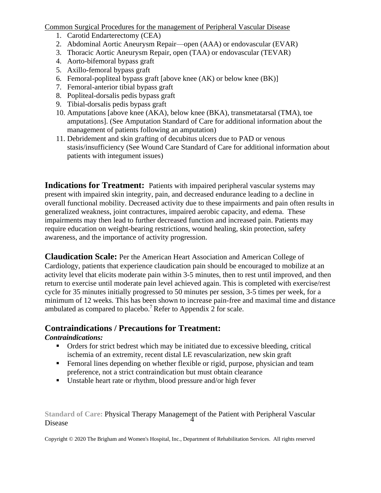Common Surgical Procedures for the management of Peripheral Vascular Disease

- 1. Carotid Endarterectomy (CEA)
- 2. Abdominal Aortic Aneurysm Repair—open (AAA) or endovascular (EVAR)
- 3. Thoracic Aortic Aneurysm Repair, open (TAA) or endovascular (TEVAR)
- 4. Aorto-bifemoral bypass graft
- 5. Axillo-femoral bypass graft
- 6. Femoral-popliteal bypass graft [above knee (AK) or below knee (BK)]
- 7. Femoral-anterior tibial bypass graft
- 8. Popliteal-dorsalis pedis bypass graft
- 9. Tibial-dorsalis pedis bypass graft
- 10. Amputations [above knee (AKA), below knee (BKA), transmetatarsal (TMA), toe amputations]. (See Amputation Standard of Care for additional information about the management of patients following an amputation)
- 11. Debridement and skin grafting of decubitus ulcers due to PAD or venous stasis/insufficiency (See Wound Care Standard of Care for additional information about patients with integument issues)

**Indications for Treatment:** Patients with impaired peripheral vascular systems may present with impaired skin integrity, pain, and decreased endurance leading to a decline in overall functional mobility. Decreased activity due to these impairments and pain often results in generalized weakness, joint contractures, impaired aerobic capacity, and edema. These impairments may then lead to further decreased function and increased pain. Patients may require education on weight-bearing restrictions, wound healing, skin protection, safety awareness, and the importance of activity progression.

**Claudication Scale:** Per the American Heart Association and American College of Cardiology, patients that experience claudication pain should be encouraged to mobilize at an activity level that elicits moderate pain within 3-5 minutes, then to rest until improved, and then return to exercise until moderate pain level achieved again. This is completed with exercise/rest cycle for 35 minutes initially progressed to 50 minutes per session, 3-5 times per week, for a minimum of 12 weeks. This has been shown to increase pain-free and maximal time and distance ambulated as compared to placebo.<sup>7</sup> Refer to Appendix 2 for scale.

# **Contraindications / Precautions for Treatment:**

#### *Contraindications:*

- Orders for strict bedrest which may be initiated due to excessive bleeding, critical ischemia of an extremity, recent distal LE revascularization, new skin graft
- **EXECT** Femoral lines depending on whether flexible or rigid, purpose, physician and team preference, not a strict contraindication but must obtain clearance
- Unstable heart rate or rhythm, blood pressure and/or high fever

**Standard of Care:** Physical Therapy Management of the Patient with Peripheral Vascular Disease 4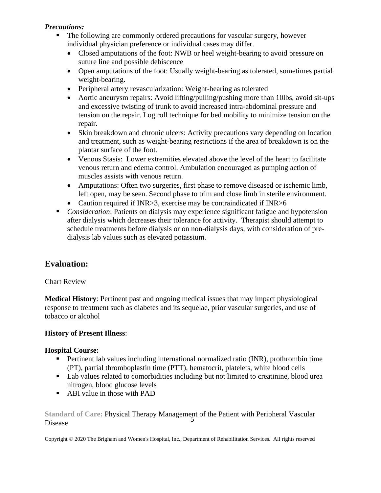#### *Precautions:*

- The following are commonly ordered precautions for vascular surgery, however individual physician preference or individual cases may differ.
	- Closed amputations of the foot: NWB or heel weight-bearing to avoid pressure on suture line and possible dehiscence
	- Open amputations of the foot: Usually weight-bearing as tolerated, sometimes partial weight-bearing.
	- Peripheral artery revascularization: Weight-bearing as tolerated
	- Aortic aneurysm repairs: Avoid lifting/pulling/pushing more than 10lbs, avoid sit-ups and excessive twisting of trunk to avoid increased intra-abdominal pressure and tension on the repair. Log roll technique for bed mobility to minimize tension on the repair.
	- Skin breakdown and chronic ulcers: Activity precautions vary depending on location and treatment, such as weight-bearing restrictions if the area of breakdown is on the plantar surface of the foot.
	- Venous Stasis: Lower extremities elevated above the level of the heart to facilitate venous return and edema control. Ambulation encouraged as pumping action of muscles assists with venous return.
	- Amputations: Often two surgeries, first phase to remove diseased or ischemic limb, left open, may be seen. Second phase to trim and close limb in sterile environment.
	- Caution required if INR>3, exercise may be contraindicated if INR>6
- *Consideration*: Patients on dialysis may experience significant fatigue and hypotension after dialysis which decreases their tolerance for activity. Therapist should attempt to schedule treatments before dialysis or on non-dialysis days, with consideration of predialysis lab values such as elevated potassium.

# **Evaluation:**

#### Chart Review

**Medical History**: Pertinent past and ongoing medical issues that may impact physiological response to treatment such as diabetes and its sequelae, prior vascular surgeries, and use of tobacco or alcohol

#### **History of Present Illness**:

#### **Hospital Course:**

- **•** Pertinent lab values including international normalized ratio (INR), prothrombin time (PT), partial thromboplastin time (PTT), hematocrit, platelets, white blood cells
- Lab values related to comorbidities including but not limited to creatinine, blood urea nitrogen, blood glucose levels
- ABI value in those with PAD

Standard of Care: Physical Therapy Management of the Patient with Peripheral Vascular Disease 5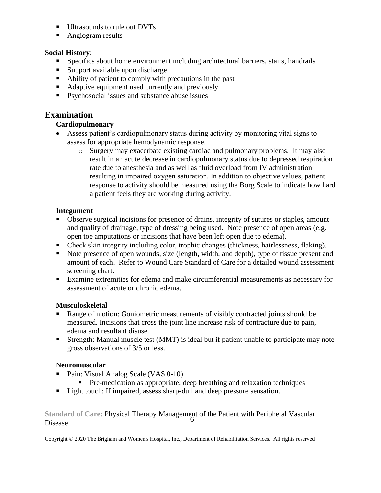- **■** Ultrasounds to rule out DVTs
- Angiogram results

#### **Social History**:

- **EXECUTE:** Specifics about home environment including architectural barriers, stairs, handrails
- Support available upon discharge
- Ability of patient to comply with precautions in the past
- Adaptive equipment used currently and previously
- Psychosocial issues and substance abuse issues

# **Examination**

## **Cardiopulmonary**

- Assess patient's cardiopulmonary status during activity by monitoring vital signs to assess for appropriate hemodynamic response.
	- o Surgery may exacerbate existing cardiac and pulmonary problems. It may also result in an acute decrease in cardiopulmonary status due to depressed respiration rate due to anesthesia and as well as fluid overload from IV administration resulting in impaired oxygen saturation. In addition to objective values, patient response to activity should be measured using the Borg Scale to indicate how hard a patient feels they are working during activity.

#### **Integument**

- Observe surgical incisions for presence of drains, integrity of sutures or staples, amount and quality of drainage, type of dressing being used. Note presence of open areas (e.g. open toe amputations or incisions that have been left open due to edema).
- Check skin integrity including color, trophic changes (thickness, hairlessness, flaking).
- Note presence of open wounds, size (length, width, and depth), type of tissue present and amount of each. Refer to Wound Care Standard of Care for a detailed wound assessment screening chart.
- Examine extremities for edema and make circumferential measurements as necessary for assessment of acute or chronic edema.

#### **Musculoskeletal**

- Range of motion: Goniometric measurements of visibly contracted joints should be measured. Incisions that cross the joint line increase risk of contracture due to pain, edema and resultant disuse.
- Strength: Manual muscle test (MMT) is ideal but if patient unable to participate may note gross observations of 3/5 or less.

#### **Neuromuscular**

- Pain: Visual Analog Scale (VAS 0-10)
	- Pre-medication as appropriate, deep breathing and relaxation techniques
- Light touch: If impaired, assess sharp-dull and deep pressure sensation.

**Standard of Care:** Physical Therapy Management of the Patient with Peripheral Vascular Disease 6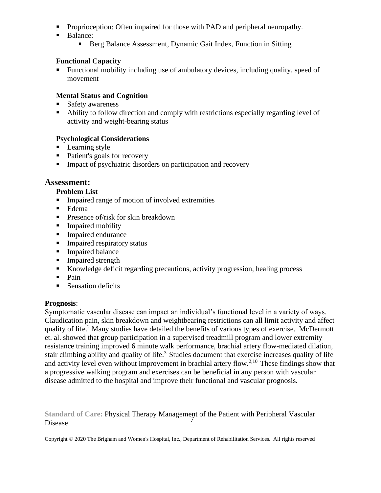- **•** Proprioception: Often impaired for those with PAD and peripheral neuropathy.
- Balance:
	- Berg Balance Assessment, Dynamic Gait Index, Function in Sitting

#### **Functional Capacity**

■ Functional mobility including use of ambulatory devices, including quality, speed of movement

#### **Mental Status and Cognition**

- **Safety awareness**
- Ability to follow direction and comply with restrictions especially regarding level of activity and weight-bearing status

#### **Psychological Considerations**

- **•** Learning style
- Patient's goals for recovery
- **IMPACT 1.1** Impact of psychiatric disorders on participation and recovery

#### **Assessment:**

#### **Problem List**

- **IMPA Impaired range of motion of involved extremities**
- Edema
- **•** Presence of/risk for skin breakdown
- Impaired mobility
- Impaired endurance
- **Impaired respiratory status**
- Impaired balance
- **Impaired strength**
- Knowledge deficit regarding precautions, activity progression, healing process
- Pain
- Sensation deficits

#### **Prognosis**:

Symptomatic vascular disease can impact an individual's functional level in a variety of ways. Claudication pain, skin breakdown and weightbearing restrictions can all limit activity and affect quality of life.<sup>2</sup> Many studies have detailed the benefits of various types of exercise. McDermott et. al. showed that group participation in a supervised treadmill program and lower extremity resistance training improved 6 minute walk performance, brachial artery flow-mediated dilation, stair climbing ability and quality of life.<sup>3</sup> Studies document that exercise increases quality of life and activity level even without improvement in brachial artery flow.<sup>2,10</sup> These findings show that a progressive walking program and exercises can be beneficial in any person with vascular disease admitted to the hospital and improve their functional and vascular prognosis.

Standard of Care: Physical Therapy Management of the Patient with Peripheral Vascular Disease 7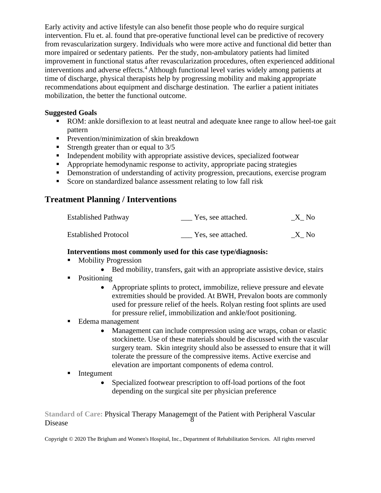Early activity and active lifestyle can also benefit those people who do require surgical intervention. Flu et. al. found that pre-operative functional level can be predictive of recovery from revascularization surgery. Individuals who were more active and functional did better than more impaired or sedentary patients. Per the study, non-ambulatory patients had limited improvement in functional status after revascularization procedures, often experienced additional interventions and adverse effects.<sup>4</sup> Although functional level varies widely among patients at time of discharge, physical therapists help by progressing mobility and making appropriate recommendations about equipment and discharge destination. The earlier a patient initiates mobilization, the better the functional outcome.

#### **Suggested Goals**

- ROM: ankle dorsiflexion to at least neutral and adequate knee range to allow heel-toe gait pattern
- **•** Prevention/minimization of skin breakdown
- **Example 1** Strength greater than or equal to  $3/5$
- **•** Independent mobility with appropriate assistive devices, specialized footwear
- **EXECUTE:** Appropriate hemodynamic response to activity, appropriate pacing strategies
- **•** Demonstration of understanding of activity progression, precautions, exercise program
- Score on standardized balance assessment relating to low fall risk

# **Treatment Planning / Interventions**

| <b>Established Pathway</b>  | Yes, see attached. | X No |
|-----------------------------|--------------------|------|
| <b>Established Protocol</b> | Yes, see attached. | X No |

#### **Interventions most commonly used for this case type/diagnosis:**

- Mobility Progression
	- Bed mobility, transfers, gait with an appropriate assistive device, stairs
- Positioning
	- Appropriate splints to protect, immobilize, relieve pressure and elevate extremities should be provided. At BWH, Prevalon boots are commonly used for pressure relief of the heels. Rolyan resting foot splints are used for pressure relief, immobilization and ankle/foot positioning.
- Edema management
	- Management can include compression using ace wraps, coban or elastic stockinette. Use of these materials should be discussed with the vascular surgery team. Skin integrity should also be assessed to ensure that it will tolerate the pressure of the compressive items. Active exercise and elevation are important components of edema control.
- **■** Integument
	- Specialized footwear prescription to off-load portions of the foot depending on the surgical site per physician preference

**Standard of Care:** Physical Therapy Management of the Patient with Peripheral Vascular Disease 8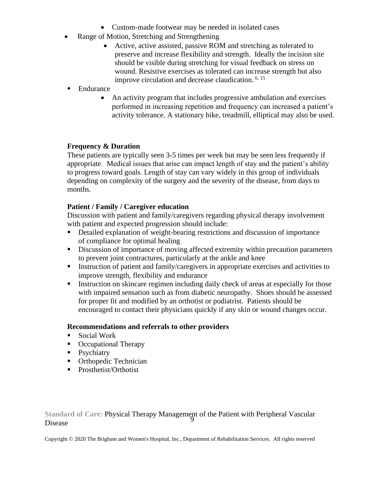- Custom-made footwear may be needed in isolated cases
- Range of Motion, Stretching and Strengthening
	- Active, active assisted, passive ROM and stretching as tolerated to preserve and increase flexibility and strength. Ideally the incision site should be visible during stretching for visual feedback on stress on wound. Resistive exercises as tolerated can increase strength but also improve circulation and decrease claudication.<sup>6, 15</sup>
- Endurance
	- An activity program that includes progressive ambulation and exercises performed in increasing repetition and frequency can increased a patient's activity tolerance. A stationary bike, treadmill, elliptical may also be used.

#### **Frequency & Duration**

These patients are typically seen 3-5 times per week but may be seen less frequently if appropriate. Medical issues that arise can impact length of stay and the patient's ability to progress toward goals. Length of stay can vary widely in this group of individuals depending on complexity of the surgery and the severity of the disease, from days to months.

#### **Patient / Family / Caregiver education**

Discussion with patient and family/caregivers regarding physical therapy involvement with patient and expected progression should include:

- **EXECUTE:** Detailed explanation of weight-bearing restrictions and discussion of importance of compliance for optimal healing
- **EXECUTE:** Discussion of importance of moving affected extremity within precaution parameters to prevent joint contractures, particularly at the ankle and knee
- **EXECUTE:** Instruction of patient and family/caregivers in appropriate exercises and activities to improve strength, flexibility and endurance
- **Exercise 1** Instruction on skincare regimen including daily check of areas at especially for those with impaired sensation such as from diabetic neuropathy. Shoes should be assessed for proper fit and modified by an orthotist or podiatrist. Patients should be encouraged to contact their physicians quickly if any skin or wound changes occur.

#### **Recommendations and referrals to other providers**

- Social Work
- Occupational Therapy
- **•** Psychiatry
- Orthopedic Technician
- Prosthetist/Orthotist

**Standard of Care:** Physical Therapy Management of the Patient with Peripheral Vascular Disease 9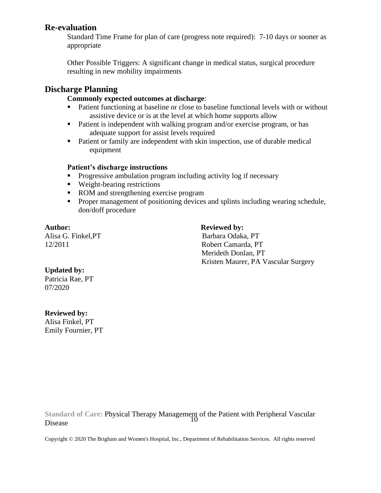## **Re-evaluation**

Standard Time Frame for plan of care (progress note required): 7-10 days or sooner as appropriate

Other Possible Triggers: A significant change in medical status, surgical procedure resulting in new mobility impairments

# **Discharge Planning**

#### **Commonly expected outcomes at discharge**:

- Patient functioning at baseline or close to baseline functional levels with or without assistive device or is at the level at which home supports allow
- Patient is independent with walking program and/or exercise program, or has adequate support for assist levels required
- Patient or family are independent with skin inspection, use of durable medical equipment

#### **Patient's discharge instructions**

- Progressive ambulation program including activity log if necessary
- Weight-bearing restrictions
- ROM and strengthening exercise program
- **•** Proper management of positioning devices and splints including wearing schedule, don/doff procedure

Author: **Reviewed by:** 

Alisa G. Finkel, PT Barbara Odaka, PT 12/2011 Robert Camarda, PT Merideth Donlan, PT Kristen Maurer, PA Vascular Surgery

## **Updated by:**

Patricia Rae, PT 07/2020

## **Reviewed by:**

Alisa Finkel, PT Emily Fournier, PT

**Standard of Care:** Physical Therapy Management of the Patient with Peripheral Vascular Disease 10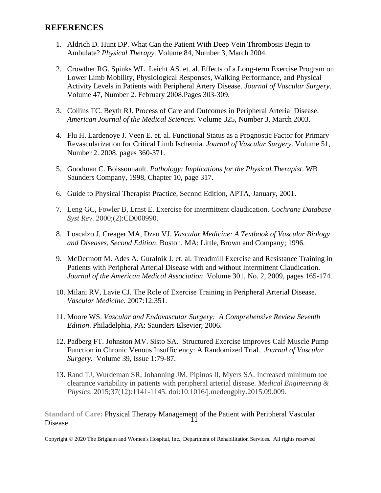#### **REFERENCES**

- 1. Aldrich D. Hunt DP. What Can the Patient With Deep Vein Thrombosis Begin to Ambulate? *Physical Therapy*. Volume 84, Number 3, March 2004.
- 2. Crowther RG. Spinks WL. Leicht AS. et. al. Effects of a Long-term Exercise Program on Lower Limb Mobility, Physiological Responses, Walking Performance, and Physical Activity Levels in Patients with Peripheral Artery Disease. *Journal of Vascular Surgery.*  Volume 47, Number 2. February 2008.Pages 303-309.
- 3. Collins TC. Beyth RJ. Process of Care and Outcomes in Peripheral Arterial Disease. *American Journal of the Medical Sciences*. Volume 325, Number 3, March 2003.
- 4. Flu H. Lardenoye J. Veen E. et. al. Functional Status as a Prognostic Factor for Primary Revascularization for Critical Limb Ischemia. *Journal of Vascular Surgery*. Volume 51, Number 2. 2008. pages 360-371.
- 5. Goodman C. Boissonnault. *Pathology: Implications for the Physical Therapist*. WB Saunders Company, 1998, Chapter 10, page 317.
- 6. Guide to Physical Therapist Practice, Second Edition, APTA, January, 2001.
- 7. Leng GC, Fowler B, Ernst E. Exercise for intermittent claudication. *Cochrane Database Syst Rev*. 2000;(2):CD000990.
- 8. Loscalzo J, Creager MA, Dzau VJ. *Vascular Medicine: A Textbook of Vascular Biology and Diseases, Second Edition*. Boston, MA: Little, Brown and Company; 1996.
- 9. McDermott M. Ades A. Guralnik J. et. al. Treadmill Exercise and Resistance Training in Patients with Peripheral Arterial Disease with and without Intermittent Claudication. *Journal of the American Medical Association*. Volume 301, No. 2, 2009, pages 165-174.
- 10. Milani RV, Lavie CJ. The Role of Exercise Training in Peripheral Arterial Disease. *Vascular Medicine*. 2007:12:351.
- 11. Moore WS. *Vascular and Endovascular Surgery: A Comprehensive Review Seventh Edition*. Philadelphia, PA: Saunders Elsevier; 2006.
- 12. Padberg FT. Johnston MV. Sisto SA. Structured Exercise Improves Calf Muscle Pump Function in Chronic Venous Insufficiency: A Randomized Trial. *Journal of Vascular Surgery*. Volume 39, Issue 1:79-87.
- 13. Rand TJ, Wurdeman SR, Johanning JM, Pipinos II, Myers SA. Increased minimum toe clearance variability in patients with peripheral arterial disease. *Medical Engineering & Physics*. 2015;37(12):1141-1145. doi:10.1016/j.medengphy.2015.09.009.

**Standard of Care:** Physical Therapy Management of the Patient with Peripheral Vascular Disease 11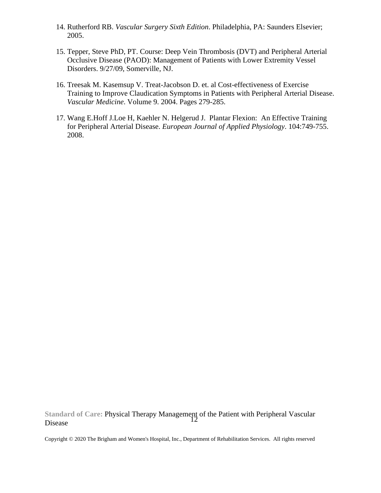- 14. Rutherford RB. *Vascular Surgery Sixth Edition*. Philadelphia, PA: Saunders Elsevier; 2005.
- 15. Tepper, Steve PhD, PT. Course: Deep Vein Thrombosis (DVT) and Peripheral Arterial Occlusive Disease (PAOD): Management of Patients with Lower Extremity Vessel Disorders. 9/27/09, Somerville, NJ.
- 16. Treesak M. Kasemsup V. Treat-Jacobson D. et. al Cost-effectiveness of Exercise Training to Improve Claudication Symptoms in Patients with Peripheral Arterial Disease. *Vascular Medicine*. Volume 9. 2004. Pages 279-285.
- 17. Wang E.Hoff J.Loe H, Kaehler N. Helgerud J. Plantar Flexion: An Effective Training for Peripheral Arterial Disease. *European Journal of Applied Physiology*. 104:749-755. 2008.

**Standard of Care:** Physical Therapy Management of the Patient with Peripheral Vascular Disease 12